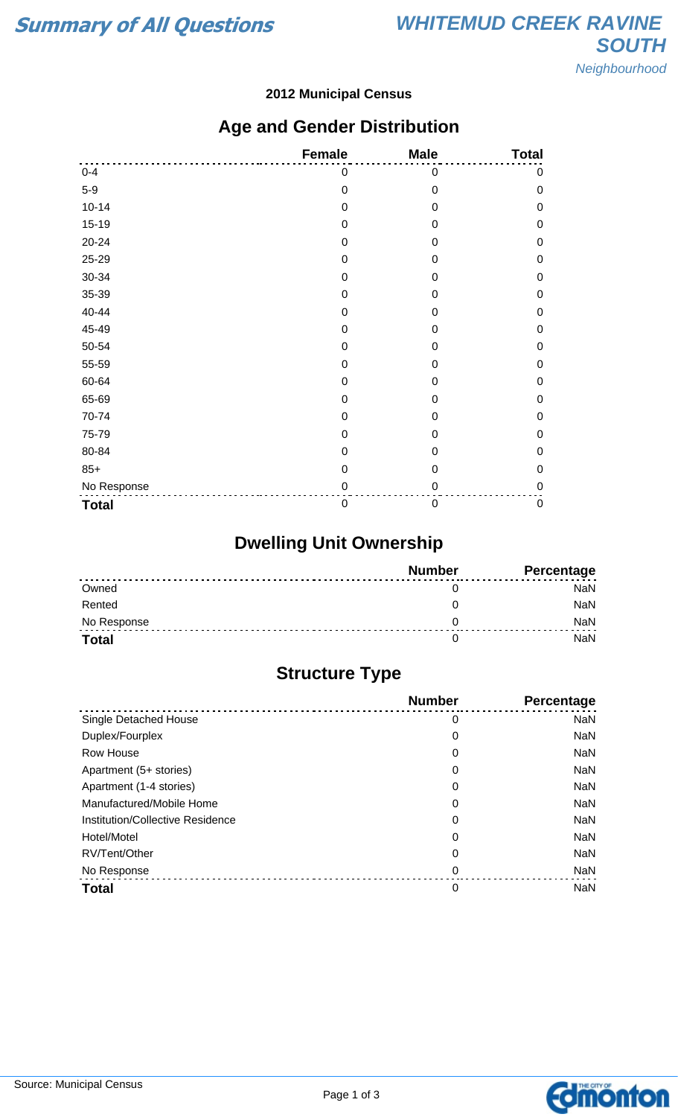#### **2012 Municipal Census**

### **Age and Gender Distribution**

|              | <b>Female</b>    | <b>Male</b>      | <b>Total</b> |
|--------------|------------------|------------------|--------------|
| $0 - 4$      | 0                | 0                | 0            |
| $5-9$        | $\mathbf 0$      | $\mathbf 0$      | $\mathbf 0$  |
| $10 - 14$    | $\mathbf 0$      | $\boldsymbol{0}$ | $\mathbf 0$  |
| $15 - 19$    | $\mathbf 0$      | 0                | $\mathbf 0$  |
| 20-24        | $\mathbf 0$      | 0                | $\mathbf 0$  |
| 25-29        | $\mathbf 0$      | 0                | $\mathbf 0$  |
| 30-34        | $\mathbf 0$      | 0                | $\mathbf 0$  |
| 35-39        | $\boldsymbol{0}$ | 0                | $\mathbf 0$  |
| 40-44        | $\mathbf 0$      | $\mathbf 0$      | $\mathbf 0$  |
| 45-49        | 0                | 0                | $\mathbf 0$  |
| 50-54        | $\mathbf 0$      | 0                | $\mathbf 0$  |
| 55-59        | $\mathbf 0$      | 0                | $\mathbf 0$  |
| 60-64        | $\mathbf 0$      | 0                | $\mathbf 0$  |
| 65-69        | $\mathbf 0$      | $\mathbf 0$      | $\mathbf 0$  |
| 70-74        | $\boldsymbol{0}$ | 0                | $\mathbf 0$  |
| 75-79        | $\mathbf 0$      | $\mathbf 0$      | $\mathbf 0$  |
| 80-84        | 0                | 0                | $\mathbf 0$  |
| $85+$        | $\mathbf 0$      | $\mathbf 0$      | $\mathbf 0$  |
| No Response  | $\pmb{0}$        | 0                | $\mathbf 0$  |
| <b>Total</b> | $\boldsymbol{0}$ | 0                | $\pmb{0}$    |

# **Dwelling Unit Ownership**

|              | <b>Number</b> | Percentage |
|--------------|---------------|------------|
| Owned        |               | NaN        |
| Rented       |               | NaN        |
| No Response  |               | <b>NaN</b> |
| <b>Total</b> |               | NaN        |

## **Structure Type**

|                                  | <b>Number</b> | <b>Percentage</b> |
|----------------------------------|---------------|-------------------|
| Single Detached House            | 0             | <b>NaN</b>        |
| Duplex/Fourplex                  | 0             | <b>NaN</b>        |
| Row House                        | 0             | <b>NaN</b>        |
| Apartment (5+ stories)           | 0             | <b>NaN</b>        |
| Apartment (1-4 stories)          | 0             | <b>NaN</b>        |
| Manufactured/Mobile Home         | 0             | <b>NaN</b>        |
| Institution/Collective Residence | 0             | <b>NaN</b>        |
| Hotel/Motel                      | 0             | <b>NaN</b>        |
| RV/Tent/Other                    | 0             | <b>NaN</b>        |
| No Response                      | 0             | <b>NaN</b>        |
| <b>Total</b>                     | 0             | <b>NaN</b>        |

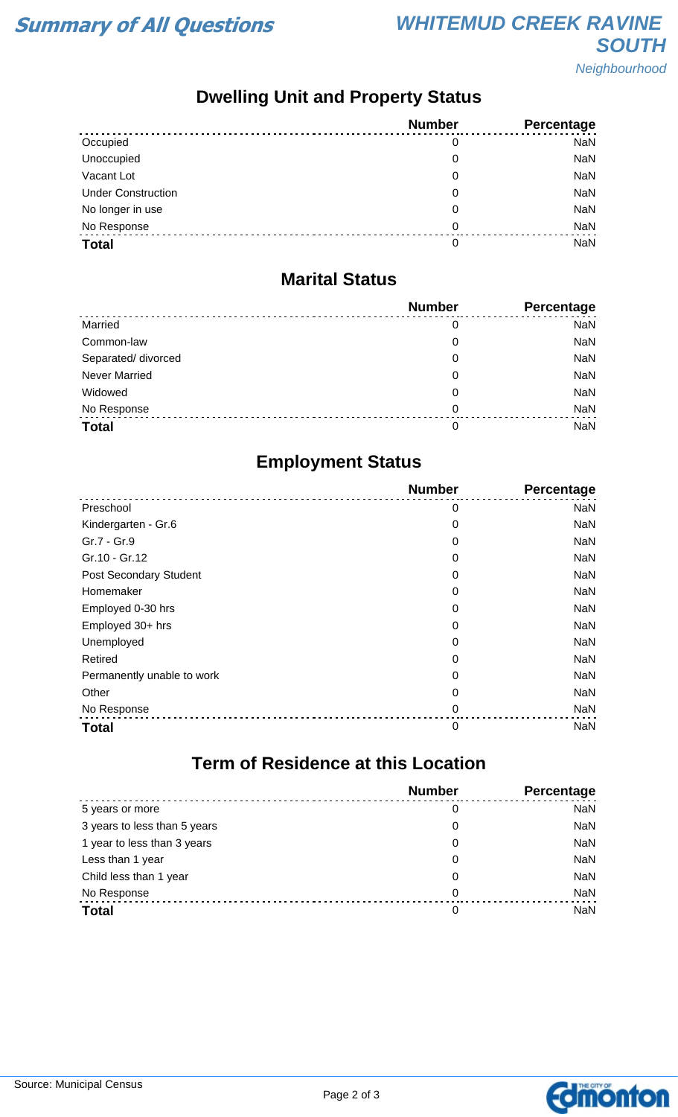## **Dwelling Unit and Property Status**

|                           | <b>Number</b> | Percentage |
|---------------------------|---------------|------------|
| Occupied                  | 0             | <b>NaN</b> |
| Unoccupied                | 0             | <b>NaN</b> |
| Vacant Lot                | 0             | <b>NaN</b> |
| <b>Under Construction</b> | 0             | <b>NaN</b> |
| No longer in use          | 0             | <b>NaN</b> |
| No Response               | 0             | <b>NaN</b> |
| <b>Total</b>              | 0             | <b>NaN</b> |

#### **Marital Status**

|                      | <b>Number</b> | Percentage |
|----------------------|---------------|------------|
| Married              | 0             | <b>NaN</b> |
| Common-law           | 0             | <b>NaN</b> |
| Separated/ divorced  | 0             | <b>NaN</b> |
| <b>Never Married</b> | 0             | <b>NaN</b> |
| Widowed              | 0             | <b>NaN</b> |
| No Response          | $\Omega$      | <b>NaN</b> |
| <b>Total</b>         | 0             | <b>NaN</b> |

### **Employment Status**

|                               | <b>Number</b> | Percentage |
|-------------------------------|---------------|------------|
| Preschool                     | 0             | <b>NaN</b> |
| Kindergarten - Gr.6           | 0             | <b>NaN</b> |
| Gr.7 - Gr.9                   | 0             | <b>NaN</b> |
| Gr.10 - Gr.12                 | 0             | <b>NaN</b> |
| <b>Post Secondary Student</b> | 0             | <b>NaN</b> |
| Homemaker                     | 0             | <b>NaN</b> |
| Employed 0-30 hrs             | 0             | <b>NaN</b> |
| Employed 30+ hrs              | 0             | <b>NaN</b> |
| Unemployed                    | 0             | <b>NaN</b> |
| Retired                       | 0             | <b>NaN</b> |
| Permanently unable to work    | 0             | <b>NaN</b> |
| Other                         | 0             | <b>NaN</b> |
| No Response                   | 0             | <b>NaN</b> |
| <b>Total</b>                  | 0             | <b>NaN</b> |

# **Term of Residence at this Location**

|                              | <b>Number</b> | Percentage |
|------------------------------|---------------|------------|
| 5 years or more              | 0             | <b>NaN</b> |
| 3 years to less than 5 years | 0             | <b>NaN</b> |
| 1 year to less than 3 years  | 0             | <b>NaN</b> |
| Less than 1 year             | 0             | <b>NaN</b> |
| Child less than 1 year       | 0             | <b>NaN</b> |
| No Response                  | 0             | <b>NaN</b> |
| <b>Total</b>                 | 0             | <b>NaN</b> |